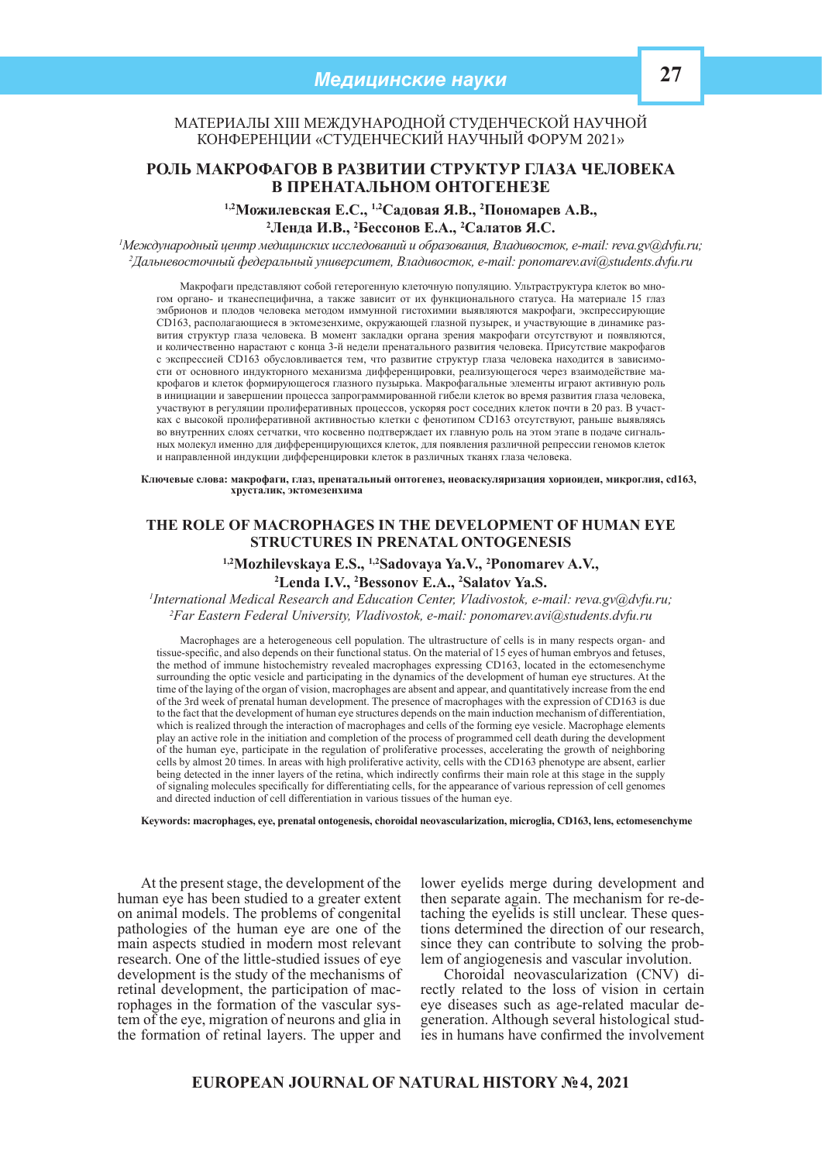## Материалы XIII Международной студенческой научной конференции «Студенческий научный форум 2021»

# **Роль макрофагов в развитии структур глаза человека в пренатальном онтогенезе**

<sup>1,2</sup> Можилевская Е.С., <sup>1,2</sup> Садовая Я.В., <sup>2</sup> Пономарев А.В., <sup>2</sup> Пенда И В. <sup>2</sup> Бессонов Е.А. <sup>2</sup> Садатов Я.С. **Ленда И.В., 2 Бессонов Е.А., 2 Салатов Я.С.**

*1 Международный центр медицинских исследований и образования, Владивосток, e-mail: reva.gv@dvfu.ru; 2 Дальневосточный федеральный университет, Владивосток, e-mail: ponomarev.avi@students.dvfu.ru*

Макрофаги представляют собой гетерогенную клеточную популяцию. Ультраструктура клеток во многом органо- и тканеспецифична, а также зависит от их функционального статуса. На материале 15 глаз эмбрионов и плодов человека методом иммунной гистохимии выявляются макрофаги, экспрессирующие CD163, располагающиеся в эктомезенхиме, окружающей глазной пузырек, и участвующие в динамике развития структур глаза человека. В момент закладки органа зрения макрофаги отсутствуют и появляются, и количественно нарастают с конца 3-й недели пренатального развития человека. Присутствие макрофагов с экспрессией CD163 обусловливается тем, что развитие структур глаза человека находится в зависимости от основного индукторного механизма дифференцировки, реализующегося через взаимодействие макрофагов и клеток формирующегося глазного пузырька. Макрофагальные элементы играют активную роль в инициации и завершении процесса запрограммированной гибели клеток во время развития глаза человека, участвуют в регуляции пролиферативных процессов, ускоряя рост соседних клеток почти в 20 раз. В участках с высокой пролиферативной активностью клетки с фенотипом CD163 отсутствуют, раньше выявляясь во внутренних слоях сетчатки, что косвенно подтверждает их главную роль на этом этапе в подаче сигнальных молекул именно для дифференцирующихся клеток, для появления различной репрессии геномов клеток и направленной индукции дифференцировки клеток в различных тканях глаза человека.

**Ключевые слова: макрофаги, глаз, пренатальный онтогенез, неоваскуляризация хориоидеи, микроглия, cd163, хрусталик, эктомезенхима**

### **THE ROLE OF MACROPHAGES IN THE DEVELOPMENT OF HUMAN EYE STRUCTURES IN PRENATAL ONTOGENESIS**

<sup>1,2</sup>Mozhilevskaya E.S., <sup>1,2</sup>Sadovaya Ya.V., <sup>2</sup>Ponomarev A.V., <sup>2</sup><br><sup>2</sup>Lenda L.V. <sup>2</sup>Bessonov E.A. <sup>2</sup>Salatov Va S

**Lenda I.V., 2 Bessonov E.A., 2 Salatov Ya.S.**

*1 International Medical Research and Education Center, Vladivostok, e-mail: reva.gv@dvfu.ru; 2 Far Eastern Federal University, Vladivostok, e-mail: ponomarev.avi@students.dvfu.ru* 

Macrophages are a heterogeneous cell population. The ultrastructure of cells is in many respects organ- and tissue-specific, and also depends on their functional status. On the material of 15 eyes of human embryos and fetuses, the method of immune histochemistry revealed macrophages expressing CD163, located in the ectomesenchyme surrounding the optic vesicle and participating in the dynamics of the development of human eye structures. At the time of the laying of the organ of vision, macrophages are absent and appear, and quantitatively increase from the end of the 3rd week of prenatal human development. The presence of macrophages with the expression of CD163 is due to the fact that the development of human eye structures depends on the main induction mechanism of differentiation, which is realized through the interaction of macrophages and cells of the forming eye vesicle. Macrophage elements play an active role in the initiation and completion of the process of programmed cell death during the development of the human eye, participate in the regulation of proliferative processes, accelerating the growth of neighboring cells by almost 20 times. In areas with high proliferative activity, cells with the CD163 phenotype are absent, earlier being detected in the inner layers of the retina, which indirectly confirms their main role at this stage in the supply of signaling molecules specifically for differentiating cells, for the appearance of various repression of cell genomes and directed induction of cell differentiation in various tissues of the human eye.

**Keywords: macrophages, eye, prenatal ontogenesis, сhoroidal neovascularization, microglia, CD163, lens, ectomesenchyme**

At the present stage, the development of the human eye has been studied to a greater extent on animal models. The problems of congenital pathologies of the human eye are one of the main aspects studied in modern most relevant research. One of the little-studied issues of eye development is the study of the mechanisms of<br>retinal development, the participation of macrephages in the formation of the vascular sys-<br>tem of the eye, migration of neurons and glia in the formation of retinal layers. The upper and

lower eyelids merge during development and then separate again. The mechanism for re-detaching the eyelids is still unclear. These questions determined the direction of our research, since they can contribute to solving the prob-<br>lem of angiogenesis and vascular involution.<br>Choroidal neovascularization (CNV) di-

rectly related to the loss of vision in certain<br>eye diseases such as age-related macular degeneration. Although several histological stud-<br>ies in humans have confirmed the involvement

# **EUROPEAN JOURNAL OF NATURAL HISTORY №4, 2021**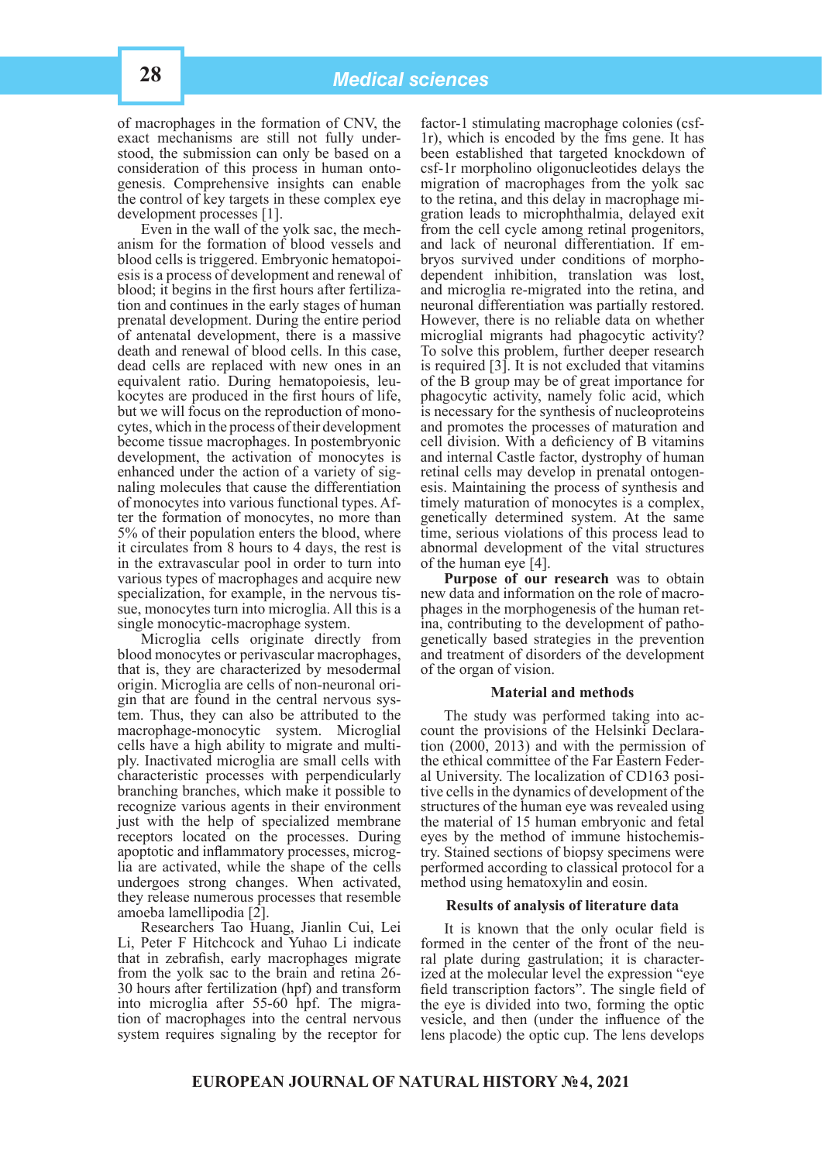of macrophages in the formation of CNV, the exact mechanisms are still not fully understood, the submission can only be based on a consideration of this process in human ontogenesis. Comprehensive insights can enable the control of key targets in these complex eye

development processes [1].<br>Even in the wall of the yolk sac, the mechanism for the formation of blood vessels and blood cells is triggered. Embryonic hematopoi- esis is a process of development and renewal of blood; it begins in the first hours after fertiliza- tion and continues in the early stages of human prenatal development. During the entire period of antenatal development, there is a massive death and renewal of blood cells. In this case, dead cells are replaced with new ones in an equivalent ratio. During hematopoiesis, leu-<br>kocytes are produced in the first hours of life, but we will focus on the reproduction of mono-<br>cytes, which in the process of their development become tissue macrophages. In postembryonic development, the activation of monocytes is enhanced under the action of a variety of sig- naling molecules that cause the differentiation of monocytes into various functional types. Af- ter the formation of monocytes, no more than 5% of their population enters the blood, where it circulates from 8 hours to 4 days, the rest is in the extravascular pool in order to turn into various types of macrophages and acquire new specialization, for example, in the nervous tis-<br>sue, monocytes turn into microglia. All this is a single monocytic-macrophage system.

Microglia cells originate directly from blood monocytes or perivascular macrophages, that is, they are characterized by mesodermal origin. Microglia are cells of non-neuronal origin that are found in the central nervous system. Thus, they can also be attributed to the macrophage-monocytic system. Microglial cells have a high ability to migrate and multiply. Inactivated microglia are small cells with characteristic processes with perpendicularly branching branches, which make it possible to recognize various agents in their environment just with the help of specialized membrane receptors located on the processes. During apoptotic and inflammatory processes, microglia are activated, while the shape of the cells undergoes strong changes. When activated, they release numerous processes that resemble amoeba lamellipodia [2].

Researchers Tao Huang, Jianlin Cui, Lei Li, Peter F Hitchcock and Yuhao Li indicate that in zebrafish, early macrophages migrate from the yolk sac to the brain and retina 26- 30 hours after fertilization (hpf) and transform into microglia after 55-60 hpf. The migration of macrophages into the central nervous system requires signaling by the receptor for

factor-1 stimulating macrophage colonies (csf-1r), which is encoded by the fms gene. It has been established that targeted knockdown of csf-1r morpholino oligonucleotides delays the migration of macrophages from the yolk sac<br>to the retina, and this delay in macrophage migration leads to microphthalmia, delayed exit from the cell cycle among retinal progenitors, and lack of neuronal differentiation. If em- bryos survived under conditions of morphodependent inhibition, translation was lost, and microglia re-migrated into the retina, and neuronal differentiation was partially restored. However, there is no reliable data on whether microglial migrants had phagocytic activity? To solve this problem, further deeper research is required [3]. It is not excluded that vitamins of the B group may be of great importance for phagocytic activity, namely folic acid, which is necessary for the synthesis of nucleoproteins and promotes the processes of maturation and cell division. With a deficiency of B vitamins and internal Castle factor, dystrophy of human retinal cells may develop in prenatal ontogen- esis. Maintaining the process of synthesis and timely maturation of monocytes is a complex, genetically determined system. At the same time, serious violations of this process lead to abnormal development of the vital structures of the human eye [4].

**Purpose of our research** was to obtain new data and information on the role of macrophages in the morphogenesis of the human ret-<br>ina, contributing to the development of patho-<br>genetically based strategies in the prevention and treatment of disorders of the development of the organ of vision.

#### **Material and methods**

The study was performed taking into account the provisions of the Helsinki Declaration (2000, 2013) and with the permission of the ethical committee of the Far Eastern Federal University. The localization of CD163 positive cells in the dynamics of development of the structures of the human eye was revealed using the material of 15 human embryonic and fetal eyes by the method of immune histochemistry. Stained sections of biopsy specimens were performed according to classical protocol for a method using hematoxylin and eosin.

#### **Results of analysis of literature data**

It is known that the only ocular field is formed in the center of the front of the neural plate during gastrulation; it is character-<br>ized at the molecular level the expression "eye field transcription factors". The single field of the eye is divided into two, forming the optic vesicle, and then (under the influence of the lens placode) the optic cup. The lens develops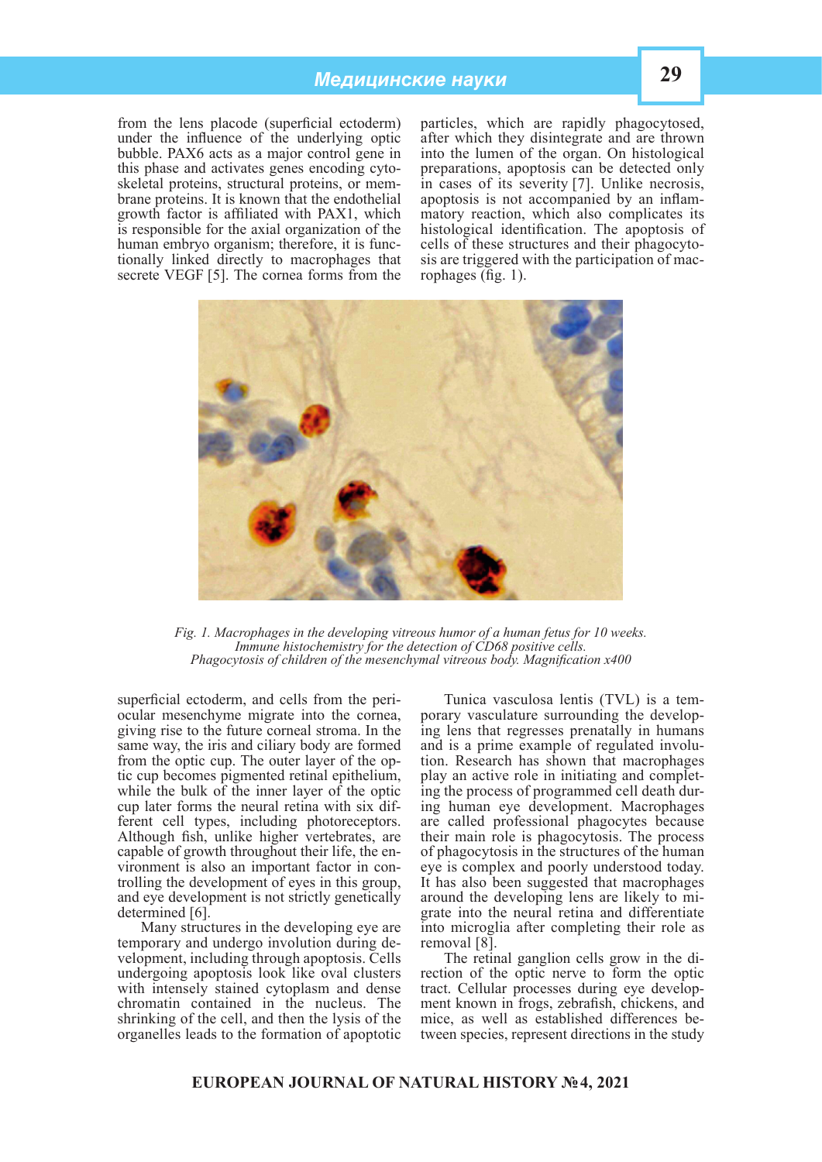# *Медицинские науки* **29**

from the lens placode (superficial ectoderm) under the influence of the underlying optic bubble. PAX6 acts as a major control gene in this phase and activates genes encoding cytobrane proteins. It is known that the endothelial growth factor is affiliated with PAX1, which is responsible for the axial organization of the human embryo organism; therefore, it is functionally linked directly to macrophages that secrete VEGF [5]. The cornea forms from the

particles, which are rapidly phagocytosed, after which they disintegrate and are thrown into the lumen of the organ. On histological preparations, apoptosis can be detected only in cases of its severity [7]. Unlike necrosis, apoptosis is not accompanied by an inflammatory reaction, which also complicates its histological identification. The apoptosis of cells of these structures and their phagocyto- sis are triggered with the participation of mac- rophages (fig. 1).



*Fig. 1. Macrophages in the developing vitreous humor of a human fetus for 10 weeks. Immune histochemistry for the detection of CD68 positive cells. Phagocytosis of children of the mesenchymal vitreous body. Magnification x400*

superficial ectoderm, and cells from the periocular mesenchyme migrate into the cornea, giving rise to the future corneal stroma. In the same way, the iris and ciliary body are formed from the optic cup. The outer layer of the optic cup becomes pigmented retinal epithelium, while the bulk of the inner layer of the optic cup later forms the neural retina with six different cell types, including photoreceptors. Although fish, unlike higher vertebrates, are capable of growth throughout their life, the environment is also an important factor in controlling the development of eyes in this group, and eye development is not strictly genetically determined [6].

Many structures in the developing eye are temporary and undergo involution during development, including through apoptosis. Cells undergoing apoptosis look like oval clusters with intensely stained cytoplasm and dense chromatin contained in the nucleus. The shrinking of the cell, and then the lysis of the organelles leads to the formation of apoptotic

Tunica vasculosa lentis (TVL) is a temporary vasculature surrounding the developing lens that regresses prenatally in humans and is a prime example of regulated involution. Research has shown that macrophages play an active role in initiating and completing the process of programmed cell death during human eye development. Macrophages are called professional phagocytes because their main role is phagocytosis. The process of phagocytosis in the structures of the human eye is complex and poorly understood today. It has also been suggested that macrophages around the developing lens are likely to migrate into the neural retina and differentiate into microglia after completing their role as removal [8].

The retinal ganglion cells grow in the direction of the optic nerve to form the optic tract. Cellular processes during eye development known in frogs, zebrafish, chickens, and mice, as well as established differences between species, represent directions in the study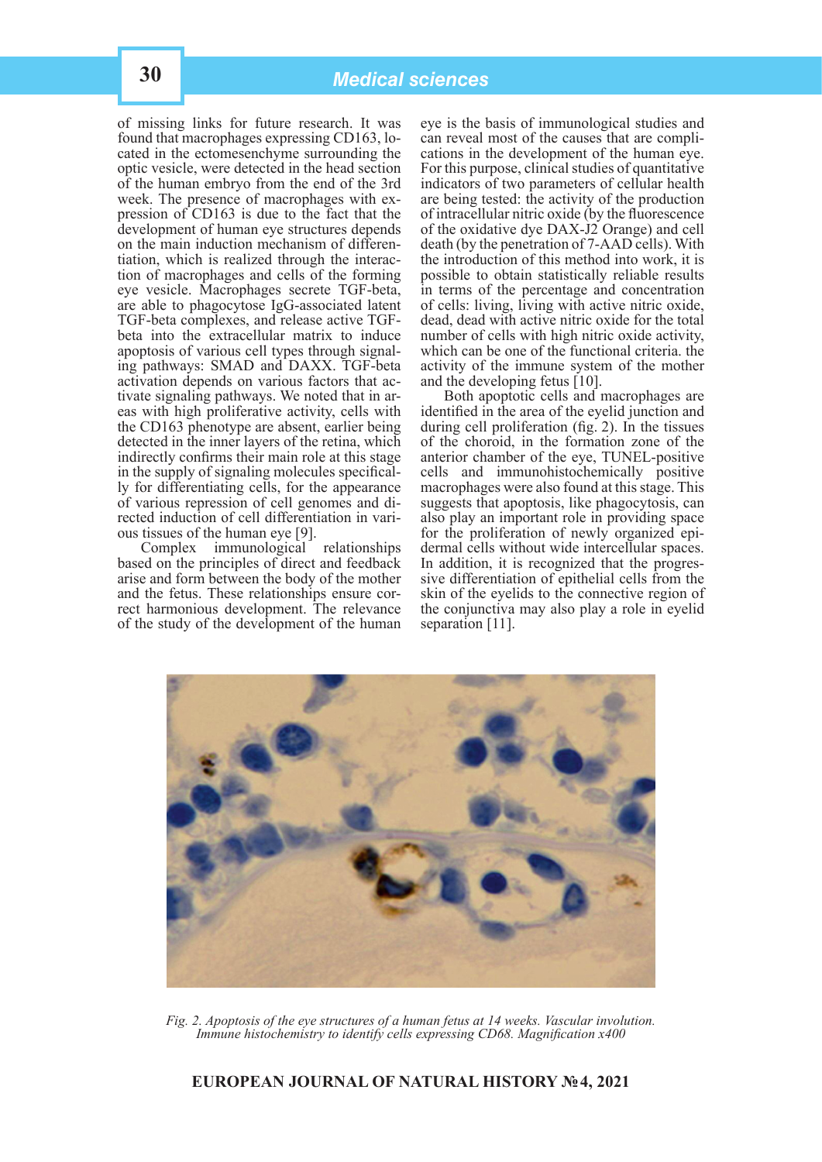of missing links for future research. It was found that macrophages expressing CD163, located in the ectomesenchyme surrounding the optic vesicle, were detected in the head section of the human embryo from the end of the 3rd pression of CD163 is due to the fact that the development of human eye structures depends on the main induction mechanism of differen- tiation, which is realized through the interac- tion of macrophages and cells of the forming eye vesicle. Macrophages secrete TGF-beta, are able to phagocytose IgG-associated latent TGF-beta complexes, and release active TGFbeta into the extracellular matrix to induce apoptosis of various cell types through signal- ing pathways: SMAD and DAXX. TGF-beta activation depends on various factors that ac- tivate signaling pathways. We noted that in ar- eas with high proliferative activity, cells with the CD163 phenotype are absent, earlier being detected in the inner layers of the retina, which indirectly confirms their main role at this stage in the supply of signaling molecules specifical- ly for differentiating cells, for the appearance of various repression of cell genomes and di- rected induction of cell differentiation in vari- ous tissues of the human eye [9].

Complex immunological relationships based on the principles of direct and feedback arise and form between the body of the mother and the fetus. These relationships ensure cor- rect harmonious development. The relevance of the study of the development of the human eye is the basis of immunological studies and can reveal most of the causes that are complications in the development of the human eye. For this purpose, clinical studies of quantitative indicators of two parameters of cellular health are being tested: the activity of the production of intracellular nitric oxide (by the fluorescence of the oxidative dye DAX-J2 Orange) and cell death (by the penetration of 7-AAD cells). With the introduction of this method into work, it is possible to obtain statistically reliable results in terms of the percentage and concentration of cells: living, living with active nitric oxide, dead, dead with active nitric oxide for the total number of cells with high nitric oxide activity, which can be one of the functional criteria. the activity of the immune system of the mother and the developing fetus [10].

Both apoptotic cells and macrophages are identified in the area of the eyelid junction and during cell proliferation (fig. 2). In the tissues of the choroid, in the formation zone of the anterior chamber of the eye, TUNEL-positive cells and immunohistochemically positive macrophages were also found at this stage. This suggests that apoptosis, like phagocytosis, can also play an important role in providing space for the proliferation of newly organized epi- dermal cells without wide intercellular spaces. In addition, it is recognized that the progres- sive differentiation of epithelial cells from the skin of the eyelids to the connective region of the conjunctiva may also play a role in eyelid separation [11].



*Fig. 2. Apoptosis of the eye structures of a human fetus at 14 weeks. Vascular involution. Immune histochemistry to identify cells expressing CD68. Magnification x400*

# **EUROPEAN JOURNAL OF NATURAL HISTORY №4, 2021**